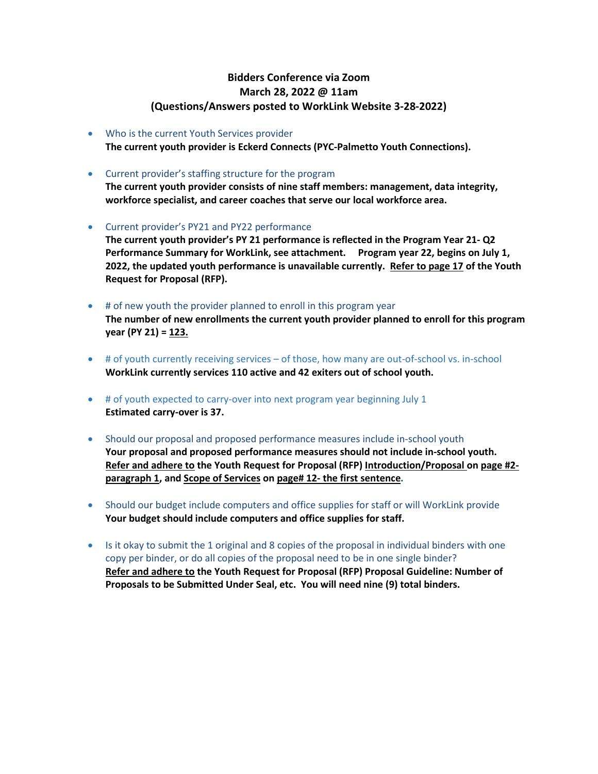## **Bidders Conference via Zoom March 28, 2022 @ 11am (Questions/Answers posted to WorkLink Website 3-28-2022)**

- Who is the current Youth Services provider **The current youth provider is Eckerd Connects (PYC-Palmetto Youth Connections).**
- Current provider's staffing structure for the program

**The current youth provider consists of nine staff members: management, data integrity, workforce specialist, and career coaches that serve our local workforce area.**

• Current provider's PY21 and PY22 performance

**The current youth provider's PY 21 performance is reflected in the Program Year 21- Q2 Performance Summary for WorkLink, see attachment. Program year 22, begins on July 1, 2022, the updated youth performance is unavailable currently. Refer to page 17 of the Youth Request for Proposal (RFP).**

- # of new youth the provider planned to enroll in this program year **The number of new enrollments the current youth provider planned to enroll for this program year (PY 21) = 123.**
- # of youth currently receiving services of those, how many are out-of-school vs. in-school **WorkLink currently services 110 active and 42 exiters out of school youth.**
- # of youth expected to carry-over into next program year beginning July 1 **Estimated carry-over is 37.**
- Should our proposal and proposed performance measures include in-school youth **Your proposal and proposed performance measures should not include in-school youth. Refer and adhere to the Youth Request for Proposal (RFP) Introduction/Proposal on page #2 paragraph 1, and Scope of Services on page# 12- the first sentence.**
- Should our budget include computers and office supplies for staff or will WorkLink provide **Your budget should include computers and office supplies for staff.**
- Is it okay to submit the 1 original and 8 copies of the proposal in individual binders with one copy per binder, or do all copies of the proposal need to be in one single binder? **Refer and adhere to the Youth Request for Proposal (RFP) Proposal Guideline: Number of Proposals to be Submitted Under Seal, etc. You will need nine (9) total binders.**